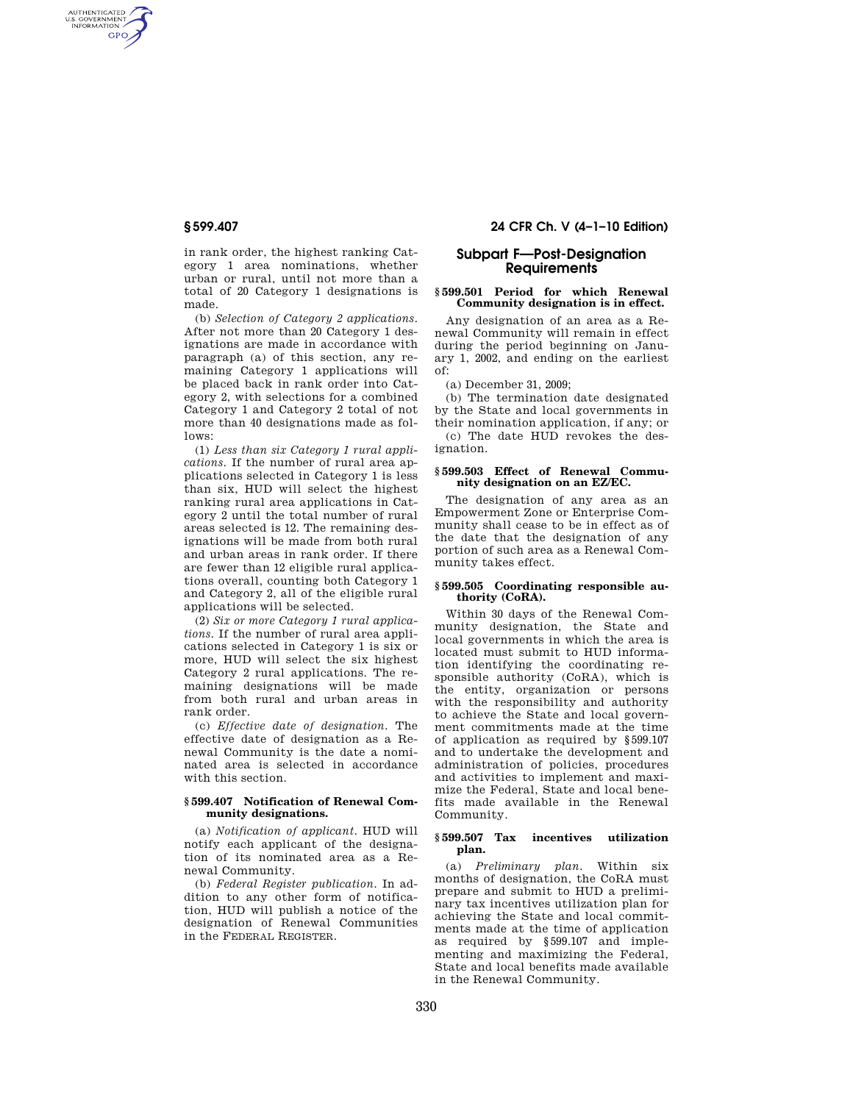AUTHENTICATED<br>U.S. GOVERNMENT<br>INFORMATION GPO

> in rank order, the highest ranking Category 1 area nominations, whether urban or rural, until not more than a total of 20 Category 1 designations is made.

> (b) *Selection of Category 2 applications.*  After not more than 20 Category 1 designations are made in accordance with paragraph (a) of this section, any remaining Category 1 applications will be placed back in rank order into Category 2, with selections for a combined Category 1 and Category 2 total of not more than 40 designations made as follows:

> (1) *Less than six Category 1 rural applications.* If the number of rural area applications selected in Category 1 is less than six, HUD will select the highest ranking rural area applications in Category 2 until the total number of rural areas selected is 12. The remaining designations will be made from both rural and urban areas in rank order. If there are fewer than 12 eligible rural applications overall, counting both Category 1 and Category 2, all of the eligible rural applications will be selected.

> (2) *Six or more Category 1 rural applications.* If the number of rural area applications selected in Category 1 is six or more, HUD will select the six highest Category 2 rural applications. The remaining designations will be made from both rural and urban areas in rank order.

> (c) *Effective date of designation.* The effective date of designation as a Renewal Community is the date a nominated area is selected in accordance with this section.

### **§ 599.407 Notification of Renewal Community designations.**

(a) *Notification of applicant.* HUD will notify each applicant of the designation of its nominated area as a Renewal Community.

(b) *Federal Register publication.* In addition to any other form of notification, HUD will publish a notice of the designation of Renewal Communities in the FEDERAL REGISTER.

# **§ 599.407 24 CFR Ch. V (4–1–10 Edition)**

# **Subpart F—Post-Designation Requirements**

### **§ 599.501 Period for which Renewal Community designation is in effect.**

Any designation of an area as a Renewal Community will remain in effect during the period beginning on January 1, 2002, and ending on the earliest of:

(a) December 31, 2009;

(b) The termination date designated by the State and local governments in their nomination application, if any; or (c) The date HUD revokes the designation.

## **§ 599.503 Effect of Renewal Community designation on an EZ/EC.**

The designation of any area as an Empowerment Zone or Enterprise Community shall cease to be in effect as of the date that the designation of any portion of such area as a Renewal Community takes effect.

## **§ 599.505 Coordinating responsible authority (CoRA).**

Within 30 days of the Renewal Community designation, the State and local governments in which the area is located must submit to HUD information identifying the coordinating responsible authority (CoRA), which is the entity, organization or persons with the responsibility and authority to achieve the State and local government commitments made at the time of application as required by §599.107 and to undertake the development and administration of policies, procedures and activities to implement and maximize the Federal, State and local benefits made available in the Renewal Community.

#### **§ 599.507 Tax incentives utilization plan.**

(a) *Preliminary plan.* Within six months of designation, the CoRA must prepare and submit to HUD a preliminary tax incentives utilization plan for achieving the State and local commitments made at the time of application as required by §599.107 and implementing and maximizing the Federal, State and local benefits made available in the Renewal Community.